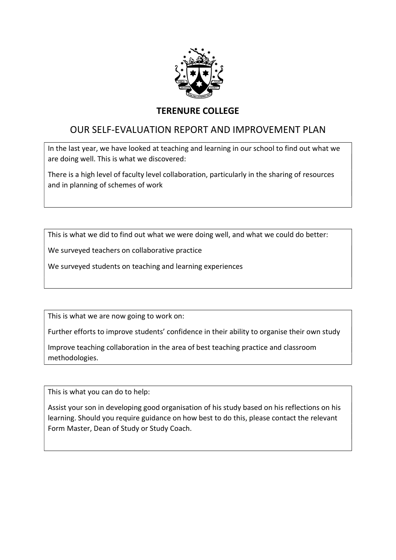

## TERENURE COLLEGE

# OUR SELF-EVALUATION REPORT AND IMPROVEMENT PLAN

In the last year, we have looked at teaching and learning in our school to find out what we are doing well. This is what we discovered:

There is a high level of faculty level collaboration, particularly in the sharing of resources and in planning of schemes of work

This is what we did to find out what we were doing well, and what we could do better:

We surveyed teachers on collaborative practice

We surveyed students on teaching and learning experiences

This is what we are now going to work on:

Further efforts to improve students' confidence in their ability to organise their own study

Improve teaching collaboration in the area of best teaching practice and classroom methodologies.

This is what you can do to help:

Assist your son in developing good organisation of his study based on his reflections on his learning. Should you require guidance on how best to do this, please contact the relevant Form Master, Dean of Study or Study Coach.